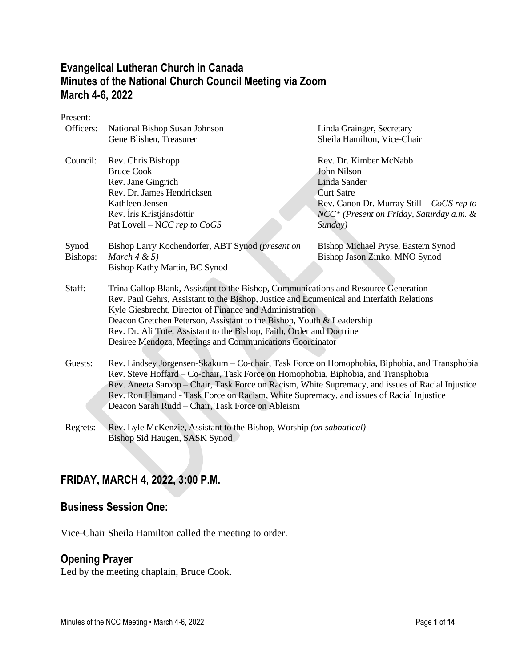# **Evangelical Lutheran Church in Canada Minutes of the National Church Council Meeting via Zoom March 4-6, 2022**

Present:

| Officers:         | National Bishop Susan Johnson<br>Gene Blishen, Treasurer                                                                                                                                                                                                                                                                                                                                                                                                  | Linda Grainger, Secretary<br>Sheila Hamilton, Vice-Chair                                                                                                                                   |
|-------------------|-----------------------------------------------------------------------------------------------------------------------------------------------------------------------------------------------------------------------------------------------------------------------------------------------------------------------------------------------------------------------------------------------------------------------------------------------------------|--------------------------------------------------------------------------------------------------------------------------------------------------------------------------------------------|
| Council:          | Rev. Chris Bishopp<br><b>Bruce Cook</b><br>Rev. Jane Gingrich<br>Rev. Dr. James Hendricksen<br>Kathleen Jensen<br>Rev. Íris Kristjánsdóttir<br>Pat Lovell – NCC rep to CoGS                                                                                                                                                                                                                                                                               | Rev. Dr. Kimber McNabb<br>John Nilson<br>Linda Sander<br><b>Curt Satre</b><br>Rev. Canon Dr. Murray Still - CoGS rep to<br>NCC <sup>*</sup> (Present on Friday, Saturday a.m. &<br>Sunday) |
| Synod<br>Bishops: | Bishop Larry Kochendorfer, ABT Synod (present on<br>March $4 \& 5$ )<br>Bishop Kathy Martin, BC Synod                                                                                                                                                                                                                                                                                                                                                     | Bishop Michael Pryse, Eastern Synod<br>Bishop Jason Zinko, MNO Synod                                                                                                                       |
| Staff:            | Trina Gallop Blank, Assistant to the Bishop, Communications and Resource Generation<br>Rev. Paul Gehrs, Assistant to the Bishop, Justice and Ecumenical and Interfaith Relations<br>Kyle Giesbrecht, Director of Finance and Administration<br>Deacon Gretchen Peterson, Assistant to the Bishop, Youth & Leadership<br>Rev. Dr. Ali Tote, Assistant to the Bishop, Faith, Order and Doctrine<br>Desiree Mendoza, Meetings and Communications Coordinator |                                                                                                                                                                                            |
| Guests:           | Rev. Lindsey Jorgensen-Skakum – Co-chair, Task Force on Homophobia, Biphobia, and Transphobia<br>Rev. Steve Hoffard - Co-chair, Task Force on Homophobia, Biphobia, and Transphobia<br>Rev. Aneeta Saroop - Chair, Task Force on Racism, White Supremacy, and issues of Racial Injustice<br>Rev. Ron Flamand - Task Force on Racism, White Supremacy, and issues of Racial Injustice<br>Deacon Sarah Rudd - Chair, Task Force on Ableism                  |                                                                                                                                                                                            |
| Regrets:          | Rev. Lyle McKenzie, Assistant to the Bishop, Worship (on sabbatical)<br>Bishop Sid Haugen, SASK Synod                                                                                                                                                                                                                                                                                                                                                     |                                                                                                                                                                                            |

# **FRIDAY, MARCH 4, 2022, 3:00 P.M.**

# **Business Session One:**

Vice-Chair Sheila Hamilton called the meeting to order.

# **Opening Prayer**

Led by the meeting chaplain, Bruce Cook.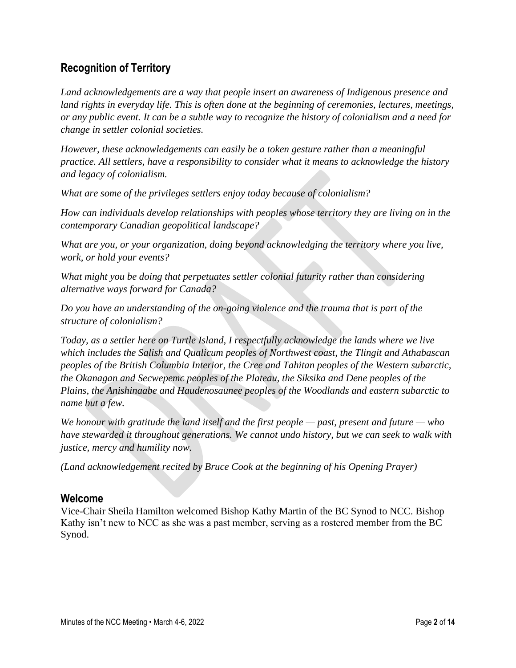# **Recognition of Territory**

*Land acknowledgements are a way that people insert an awareness of Indigenous presence and land rights in everyday life. This is often done at the beginning of ceremonies, lectures, meetings, or any public event. It can be a subtle way to recognize the history of colonialism and a need for change in settler colonial societies.*

*However, these acknowledgements can easily be a token gesture rather than a meaningful practice. All settlers, have a responsibility to consider what it means to acknowledge the history and legacy of colonialism.*

*What are some of the privileges settlers enjoy today because of colonialism?*

*How can individuals develop relationships with peoples whose territory they are living on in the contemporary Canadian geopolitical landscape?*

*What are you, or your organization, doing beyond acknowledging the territory where you live, work, or hold your events?*

*What might you be doing that perpetuates settler colonial futurity rather than considering alternative ways forward for Canada?*

*Do you have an understanding of the on-going violence and the trauma that is part of the structure of colonialism?*

*Today, as a settler here on Turtle Island, I respectfully acknowledge the lands where we live which includes the Salish and Qualicum peoples of Northwest coast, the Tlingit and Athabascan peoples of the British Columbia Interior, the Cree and Tahitan peoples of the Western subarctic, the Okanagan and Secwepemc peoples of the Plateau, the Siksika and Dene peoples of the Plains, the Anishinaabe and Haudenosaunee peoples of the Woodlands and eastern subarctic to name but a few.*

*We honour with gratitude the land itself and the first people — past, present and future — who have stewarded it throughout generations. We cannot undo history, but we can seek to walk with justice, mercy and humility now.*

*(Land acknowledgement recited by Bruce Cook at the beginning of his Opening Prayer)*

#### **Welcome**

Vice-Chair Sheila Hamilton welcomed Bishop Kathy Martin of the BC Synod to NCC. Bishop Kathy isn't new to NCC as she was a past member, serving as a rostered member from the BC Synod.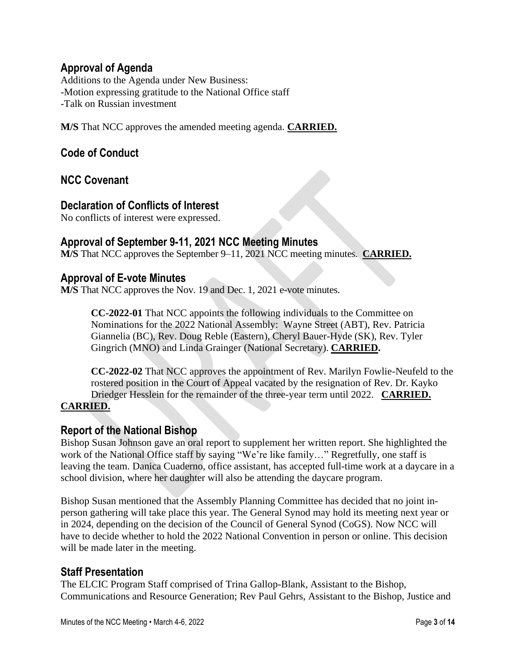## **Approval of Agenda**

Additions to the Agenda under New Business: -Motion expressing gratitude to the National Office staff -Talk on Russian investment

**M/S** That NCC approves the amended meeting agenda. **CARRIED.**

# **Code of Conduct**

**NCC Covenant**

#### **Declaration of Conflicts of Interest**

No conflicts of interest were expressed.

## **Approval of September 9-11, 2021 NCC Meeting Minutes**

**M/S** That NCC approves the September 9–11, 2021 NCC meeting minutes. **CARRIED.**

#### **Approval of E-vote Minutes**

**M/S** That NCC approves the Nov. 19 and Dec. 1, 2021 e-vote minutes.

**CC-2022-01** That NCC appoints the following individuals to the Committee on Nominations for the 2022 National Assembly: Wayne Street (ABT), Rev. Patricia Giannelia (BC), Rev. Doug Reble (Eastern), Cheryl Bauer-Hyde (SK), Rev. Tyler Gingrich (MNO) and Linda Grainger (National Secretary). **CARRIED.**

**CC-2022-02** That NCC approves the appointment of Rev. Marilyn Fowlie-Neufeld to the rostered position in the Court of Appeal vacated by the resignation of Rev. Dr. Kayko Driedger Hesslein for the remainder of the three-year term until 2022. **CARRIED. CARRIED.**

#### **Report of the National Bishop**

Bishop Susan Johnson gave an oral report to supplement her written report. She highlighted the work of the National Office staff by saying "We're like family..." Regretfully, one staff is leaving the team. Danica Cuaderno, office assistant, has accepted full-time work at a daycare in a school division, where her daughter will also be attending the daycare program.

Bishop Susan mentioned that the Assembly Planning Committee has decided that no joint inperson gathering will take place this year. The General Synod may hold its meeting next year or in 2024, depending on the decision of the Council of General Synod (CoGS). Now NCC will have to decide whether to hold the 2022 National Convention in person or online. This decision will be made later in the meeting.

#### **Staff Presentation**

The ELCIC Program Staff comprised of Trina Gallop-Blank, Assistant to the Bishop, Communications and Resource Generation; Rev Paul Gehrs, Assistant to the Bishop, Justice and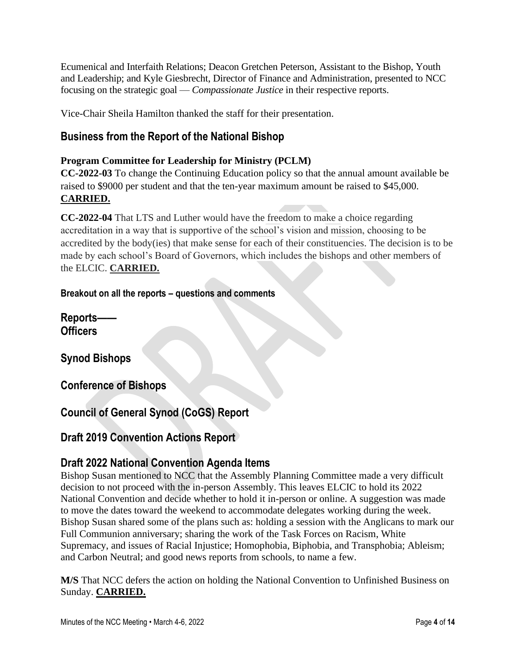Ecumenical and Interfaith Relations; Deacon Gretchen Peterson, Assistant to the Bishop, Youth and Leadership; and Kyle Giesbrecht, Director of Finance and Administration, presented to NCC focusing on the strategic goal — *Compassionate Justice* in their respective reports.

Vice-Chair Sheila Hamilton thanked the staff for their presentation.

# **Business from the Report of the National Bishop**

#### **Program Committee for Leadership for Ministry (PCLM)**

**CC-2022-03** To change the Continuing Education policy so that the annual amount available be raised to \$9000 per student and that the ten-year maximum amount be raised to \$45,000. **CARRIED.**

**CC-2022-04** That LTS and Luther would have the freedom to make a choice regarding accreditation in a way that is supportive of the school's vision and mission, choosing to be accredited by the body(ies) that make sense for each of their constituencies. The decision is to be made by each school's Board of Governors, which includes the bishops and other members of the ELCIC. **CARRIED.**

#### **Breakout on all the reports – questions and comments**

**Reports—— Officers**

**Synod Bishops**

**Conference of Bishops**

**Council of General Synod (CoGS) Report**

# **Draft 2019 Convention Actions Report**

# **Draft 2022 National Convention Agenda Items**

Bishop Susan mentioned to NCC that the Assembly Planning Committee made a very difficult decision to not proceed with the in-person Assembly. This leaves ELCIC to hold its 2022 National Convention and decide whether to hold it in-person or online. A suggestion was made to move the dates toward the weekend to accommodate delegates working during the week. Bishop Susan shared some of the plans such as: holding a session with the Anglicans to mark our Full Communion anniversary; sharing the work of the Task Forces on Racism, White Supremacy, and issues of Racial Injustice; Homophobia, Biphobia, and Transphobia; Ableism; and Carbon Neutral; and good news reports from schools, to name a few.

**M/S** That NCC defers the action on holding the National Convention to Unfinished Business on Sunday. **CARRIED.**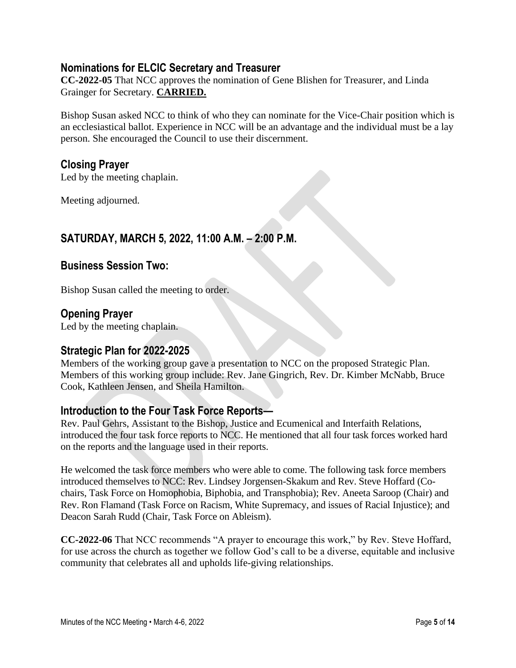## **Nominations for ELCIC Secretary and Treasurer**

**CC-2022-05** That NCC approves the nomination of Gene Blishen for Treasurer, and Linda Grainger for Secretary. **CARRIED.**

Bishop Susan asked NCC to think of who they can nominate for the Vice-Chair position which is an ecclesiastical ballot. Experience in NCC will be an advantage and the individual must be a lay person. She encouraged the Council to use their discernment.

#### **Closing Prayer**

Led by the meeting chaplain.

Meeting adjourned.

# **SATURDAY, MARCH 5, 2022, 11:00 A.M. – 2:00 P.M.**

#### **Business Session Two:**

Bishop Susan called the meeting to order.

#### **Opening Prayer**

Led by the meeting chaplain.

#### **Strategic Plan for 2022-2025**

Members of the working group gave a presentation to NCC on the proposed Strategic Plan. Members of this working group include: Rev. Jane Gingrich, Rev. Dr. Kimber McNabb, Bruce Cook, Kathleen Jensen, and Sheila Hamilton.

#### **Introduction to the Four Task Force Reports—**

Rev. Paul Gehrs, Assistant to the Bishop, Justice and Ecumenical and Interfaith Relations, introduced the four task force reports to NCC. He mentioned that all four task forces worked hard on the reports and the language used in their reports.

He welcomed the task force members who were able to come. The following task force members introduced themselves to NCC: Rev. Lindsey Jorgensen-Skakum and Rev. Steve Hoffard (Cochairs, Task Force on Homophobia, Biphobia, and Transphobia); Rev. Aneeta Saroop (Chair) and Rev. Ron Flamand (Task Force on Racism, White Supremacy, and issues of Racial Injustice); and Deacon Sarah Rudd (Chair, Task Force on Ableism).

**CC-2022-06** That NCC recommends "A prayer to encourage this work," by Rev. Steve Hoffard, for use across the church as together we follow God's call to be a diverse, equitable and inclusive community that celebrates all and upholds life-giving relationships.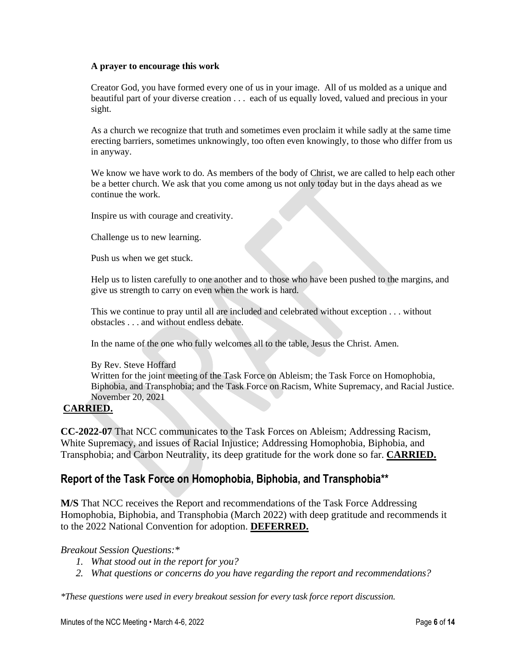#### **A prayer to encourage this work**

Creator God, you have formed every one of us in your image. All of us molded as a unique and beautiful part of your diverse creation . . . each of us equally loved, valued and precious in your sight.

As a church we recognize that truth and sometimes even proclaim it while sadly at the same time erecting barriers, sometimes unknowingly, too often even knowingly, to those who differ from us in anyway.

We know we have work to do. As members of the body of Christ, we are called to help each other be a better church. We ask that you come among us not only today but in the days ahead as we continue the work.

Inspire us with courage and creativity.

Challenge us to new learning.

Push us when we get stuck.

Help us to listen carefully to one another and to those who have been pushed to the margins, and give us strength to carry on even when the work is hard.

This we continue to pray until all are included and celebrated without exception . . . without obstacles . . . and without endless debate.

In the name of the one who fully welcomes all to the table, Jesus the Christ. Amen.

By Rev. Steve Hoffard

Written for the joint meeting of the Task Force on Ableism; the Task Force on Homophobia, Biphobia, and Transphobia; and the Task Force on Racism, White Supremacy, and Racial Justice. November 20, 2021

#### **CARRIED.**

**CC-2022-07** That NCC communicates to the Task Forces on Ableism; Addressing Racism, White Supremacy, and issues of Racial Injustice; Addressing Homophobia, Biphobia, and Transphobia; and Carbon Neutrality, its deep gratitude for the work done so far. **CARRIED.**

#### **Report of the Task Force on Homophobia, Biphobia, and Transphobia\*\***

**M/S** That NCC receives the Report and recommendations of the Task Force Addressing Homophobia, Biphobia, and Transphobia (March 2022) with deep gratitude and recommends it to the 2022 National Convention for adoption. **DEFERRED.**

#### *Breakout Session Questions:\**

- *1. What stood out in the report for you?*
- *2. What questions or concerns do you have regarding the report and recommendations?*

*\*These questions were used in every breakout session for every task force report discussion.*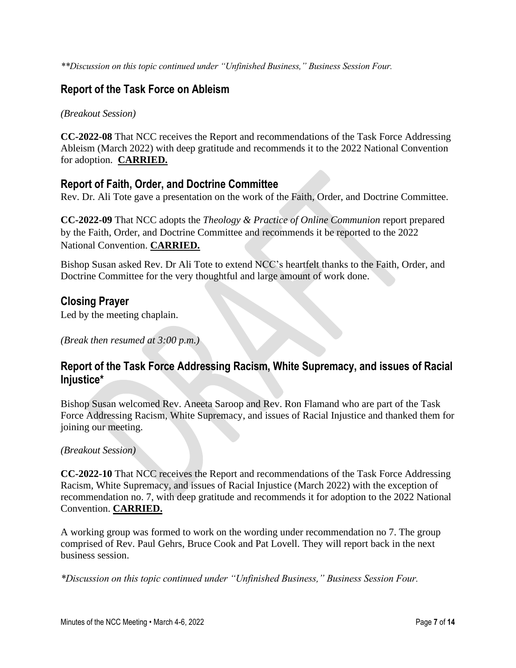*\*\*Discussion on this topic continued under "Unfinished Business," Business Session Four.*

# **Report of the Task Force on Ableism**

#### *(Breakout Session)*

**CC-2022-08** That NCC receives the Report and recommendations of the Task Force Addressing Ableism (March 2022) with deep gratitude and recommends it to the 2022 National Convention for adoption. **CARRIED.**

## **Report of Faith, Order, and Doctrine Committee**

Rev. Dr. Ali Tote gave a presentation on the work of the Faith, Order, and Doctrine Committee.

**CC-2022-09** That NCC adopts the *Theology & Practice of Online Communion* report prepared by the Faith, Order, and Doctrine Committee and recommends it be reported to the 2022 National Convention. **CARRIED.**

Bishop Susan asked Rev. Dr Ali Tote to extend NCC's heartfelt thanks to the Faith, Order, and Doctrine Committee for the very thoughtful and large amount of work done.

# **Closing Prayer**

Led by the meeting chaplain.

*(Break then resumed at 3:00 p.m.)*

# **Report of the Task Force Addressing Racism, White Supremacy, and issues of Racial Injustice\***

Bishop Susan welcomed Rev. Aneeta Saroop and Rev. Ron Flamand who are part of the Task Force Addressing Racism, White Supremacy, and issues of Racial Injustice and thanked them for joining our meeting.

#### *(Breakout Session)*

**CC-2022-10** That NCC receives the Report and recommendations of the Task Force Addressing Racism, White Supremacy, and issues of Racial Injustice (March 2022) with the exception of recommendation no. 7, with deep gratitude and recommends it for adoption to the 2022 National Convention. **CARRIED.**

A working group was formed to work on the wording under recommendation no 7. The group comprised of Rev. Paul Gehrs, Bruce Cook and Pat Lovell. They will report back in the next business session.

*\*Discussion on this topic continued under "Unfinished Business," Business Session Four.*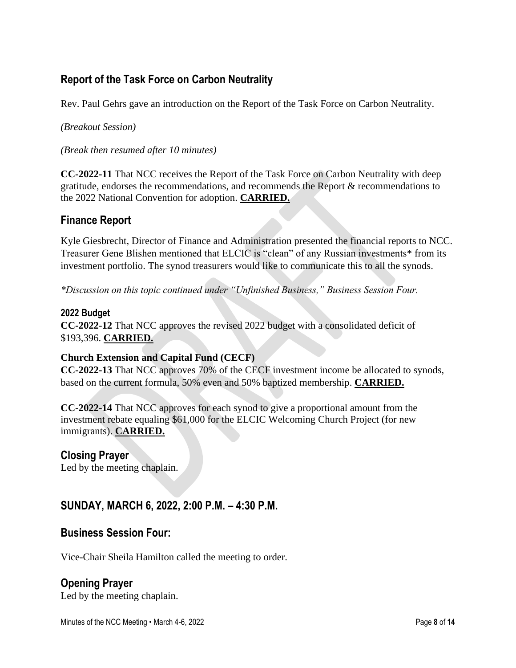# **Report of the Task Force on Carbon Neutrality**

Rev. Paul Gehrs gave an introduction on the Report of the Task Force on Carbon Neutrality.

*(Breakout Session)*

*(Break then resumed after 10 minutes)*

**CC-2022-11** That NCC receives the Report of the Task Force on Carbon Neutrality with deep gratitude, endorses the recommendations, and recommends the Report & recommendations to the 2022 National Convention for adoption. **CARRIED.**

## **Finance Report**

Kyle Giesbrecht, Director of Finance and Administration presented the financial reports to NCC. Treasurer Gene Blishen mentioned that ELCIC is "clean" of any Russian investments\* from its investment portfolio. The synod treasurers would like to communicate this to all the synods.

*\*Discussion on this topic continued under "Unfinished Business," Business Session Four.*

#### **2022 Budget**

**CC-2022**-**12** That NCC approves the revised 2022 budget with a consolidated deficit of \$193,396. **CARRIED.**

#### **Church Extension and Capital Fund (CECF)**

**CC-2022-13** That NCC approves 70% of the CECF investment income be allocated to synods, based on the current formula, 50% even and 50% baptized membership. **CARRIED.**

**CC-2022-14** That NCC approves for each synod to give a proportional amount from the investment rebate equaling \$61,000 for the ELCIC Welcoming Church Project (for new immigrants). **CARRIED.**

#### **Closing Prayer**

Led by the meeting chaplain.

#### **SUNDAY, MARCH 6, 2022, 2:00 P.M. – 4:30 P.M.**

#### **Business Session Four:**

Vice-Chair Sheila Hamilton called the meeting to order.

#### **Opening Prayer**

Led by the meeting chaplain.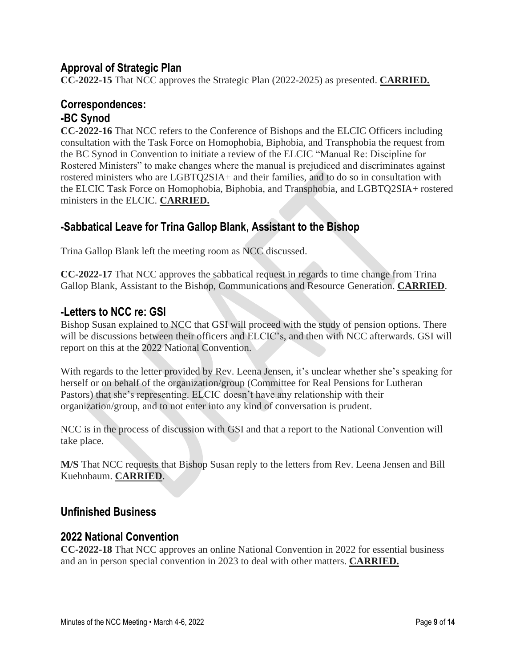## **Approval of Strategic Plan**

**CC-2022-15** That NCC approves the Strategic Plan (2022-2025) as presented. **CARRIED.**

#### **Correspondences: -BC Synod**

**CC-2022-16** That NCC refers to the Conference of Bishops and the ELCIC Officers including consultation with the Task Force on Homophobia, Biphobia, and Transphobia the request from the BC Synod in Convention to initiate a review of the ELCIC "Manual Re: Discipline for Rostered Ministers" to make changes where the manual is prejudiced and discriminates against rostered ministers who are LGBTQ2SIA+ and their families, and to do so in consultation with the ELCIC Task Force on Homophobia, Biphobia, and Transphobia, and LGBTQ2SIA+ rostered ministers in the ELCIC. **CARRIED.**

# **-Sabbatical Leave for Trina Gallop Blank, Assistant to the Bishop**

Trina Gallop Blank left the meeting room as NCC discussed.

**CC-2022-17** That NCC approves the sabbatical request in regards to time change from Trina Gallop Blank, Assistant to the Bishop, Communications and Resource Generation. **CARRIED**.

#### **-Letters to NCC re: GSI**

Bishop Susan explained to NCC that GSI will proceed with the study of pension options. There will be discussions between their officers and ELCIC's, and then with NCC afterwards. GSI will report on this at the 2022 National Convention.

With regards to the letter provided by Rev. Leena Jensen, it's unclear whether she's speaking for herself or on behalf of the organization/group (Committee for Real Pensions for Lutheran Pastors) that she's representing. ELCIC doesn't have any relationship with their organization/group, and to not enter into any kind of conversation is prudent.

NCC is in the process of discussion with GSI and that a report to the National Convention will take place.

**M/S** That NCC requests that Bishop Susan reply to the letters from Rev. Leena Jensen and Bill Kuehnbaum. **CARRIED**.

#### **Unfinished Business**

#### **2022 National Convention**

**CC-2022-18** That NCC approves an online National Convention in 2022 for essential business and an in person special convention in 2023 to deal with other matters. **CARRIED.**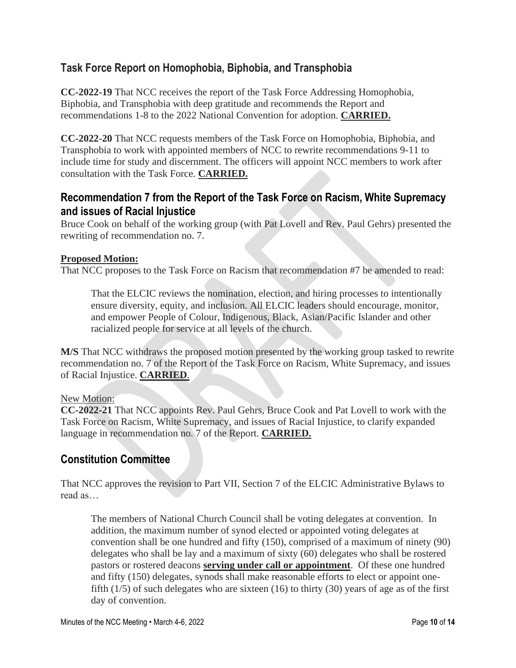# **Task Force Report on Homophobia, Biphobia, and Transphobia**

**CC-2022-19** That NCC receives the report of the Task Force Addressing Homophobia, Biphobia, and Transphobia with deep gratitude and recommends the Report and recommendations 1-8 to the 2022 National Convention for adoption. **CARRIED.** 

**CC-2022-20** That NCC requests members of the Task Force on Homophobia, Biphobia, and Transphobia to work with appointed members of NCC to rewrite recommendations 9-11 to include time for study and discernment. The officers will appoint NCC members to work after consultation with the Task Force. **CARRIED.**

# **Recommendation 7 from the Report of the Task Force on Racism, White Supremacy and issues of Racial Injustice**

Bruce Cook on behalf of the working group (with Pat Lovell and Rev. Paul Gehrs) presented the rewriting of recommendation no. 7.

#### **Proposed Motion:**

That NCC proposes to the Task Force on Racism that recommendation #7 be amended to read:

That the ELCIC reviews the nomination, election, and hiring processes to intentionally ensure diversity, equity, and inclusion. All ELCIC leaders should encourage, monitor, and empower People of Colour, Indigenous, Black, Asian/Pacific Islander and other racialized people for service at all levels of the church.

**M/S** That NCC withdraws the proposed motion presented by the working group tasked to rewrite recommendation no. 7 of the Report of the Task Force on Racism, White Supremacy, and issues of Racial Injustice. **CARRIED**.

#### New Motion:

**CC-2022-21** That NCC appoints Rev. Paul Gehrs, Bruce Cook and Pat Lovell to work with the Task Force on Racism, White Supremacy, and issues of Racial Injustice, to clarify expanded language in recommendation no. 7 of the Report. **CARRIED.**

# **Constitution Committee**

That NCC approves the revision to Part VII, Section 7 of the ELCIC Administrative Bylaws to read as…

The members of National Church Council shall be voting delegates at convention. In addition, the maximum number of synod elected or appointed voting delegates at convention shall be one hundred and fifty (150), comprised of a maximum of ninety (90) delegates who shall be lay and a maximum of sixty (60) delegates who shall be rostered pastors or rostered deacons **serving under call or appointment**. Of these one hundred and fifty (150) delegates, synods shall make reasonable efforts to elect or appoint onefifth (1/5) of such delegates who are sixteen (16) to thirty (30) years of age as of the first day of convention.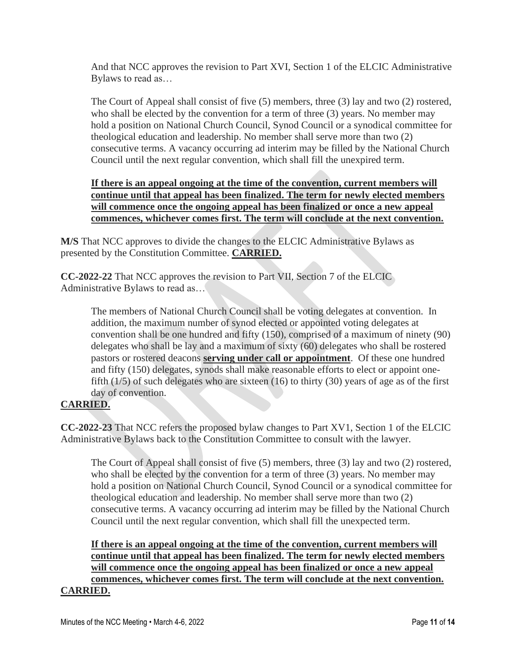And that NCC approves the revision to Part XVI, Section 1 of the ELCIC Administrative Bylaws to read as…

The Court of Appeal shall consist of five (5) members, three (3) lay and two (2) rostered, who shall be elected by the convention for a term of three (3) years. No member may hold a position on National Church Council, Synod Council or a synodical committee for theological education and leadership. No member shall serve more than two (2) consecutive terms. A vacancy occurring ad interim may be filled by the National Church Council until the next regular convention, which shall fill the unexpired term.

#### **If there is an appeal ongoing at the time of the convention, current members will continue until that appeal has been finalized. The term for newly elected members will commence once the ongoing appeal has been finalized or once a new appeal commences, whichever comes first. The term will conclude at the next convention.**

**M/S** That NCC approves to divide the changes to the ELCIC Administrative Bylaws as presented by the Constitution Committee. **CARRIED.**

**CC-2022-22** That NCC approves the revision to Part VII, Section 7 of the ELCIC Administrative Bylaws to read as…

The members of National Church Council shall be voting delegates at convention. In addition, the maximum number of synod elected or appointed voting delegates at convention shall be one hundred and fifty (150), comprised of a maximum of ninety (90) delegates who shall be lay and a maximum of sixty (60) delegates who shall be rostered pastors or rostered deacons **serving under call or appointment**. Of these one hundred and fifty (150) delegates, synods shall make reasonable efforts to elect or appoint onefifth  $(1/5)$  of such delegates who are sixteen  $(16)$  to thirty  $(30)$  years of age as of the first day of convention.

#### **CARRIED.**

**CC-2022-23** That NCC refers the proposed bylaw changes to Part XV1, Section 1 of the ELCIC Administrative Bylaws back to the Constitution Committee to consult with the lawyer.

The Court of Appeal shall consist of five (5) members, three (3) lay and two (2) rostered, who shall be elected by the convention for a term of three (3) years. No member may hold a position on National Church Council, Synod Council or a synodical committee for theological education and leadership. No member shall serve more than two (2) consecutive terms. A vacancy occurring ad interim may be filled by the National Church Council until the next regular convention, which shall fill the unexpected term.

**If there is an appeal ongoing at the time of the convention, current members will continue until that appeal has been finalized. The term for newly elected members will commence once the ongoing appeal has been finalized or once a new appeal commences, whichever comes first. The term will conclude at the next convention. CARRIED.**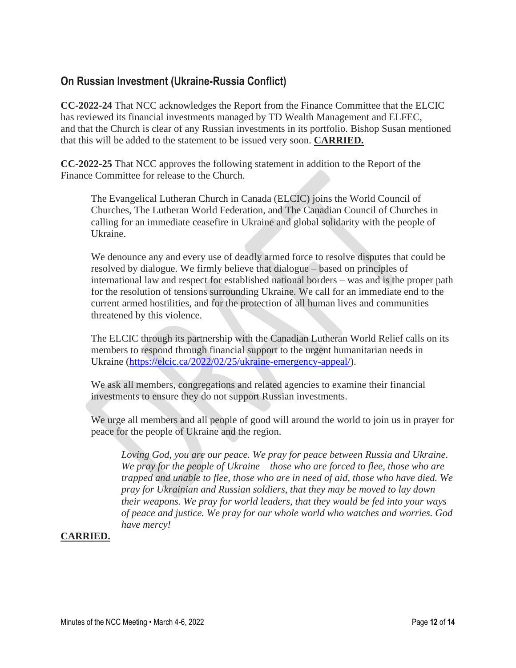# **On Russian Investment (Ukraine-Russia Conflict)**

**CC-2022-24** That NCC acknowledges the Report from the Finance Committee that the ELCIC has reviewed its financial investments managed by TD Wealth Management and ELFEC, and that the Church is clear of any Russian investments in its portfolio. Bishop Susan mentioned that this will be added to the statement to be issued very soon. **CARRIED.**

**CC-2022-25** That NCC approves the following statement in addition to the Report of the Finance Committee for release to the Church.

The Evangelical Lutheran Church in Canada (ELCIC) joins the World Council of Churches, The Lutheran World Federation, and The Canadian Council of Churches in calling for an immediate ceasefire in Ukraine and global solidarity with the people of Ukraine.

We denounce any and every use of deadly armed force to resolve disputes that could be resolved by dialogue. We firmly believe that dialogue – based on principles of international law and respect for established national borders – was and is the proper path for the resolution of tensions surrounding Ukraine. We call for an immediate end to the current armed hostilities, and for the protection of all human lives and communities threatened by this violence.

The ELCIC through its partnership with the Canadian Lutheran World Relief calls on its members to respond through financial support to the urgent humanitarian needs in Ukraine [\(https://elcic.ca/2022/02/25/ukraine-emergency-appeal/\)](https://elcic.ca/2022/02/25/ukraine-emergency-appeal/).

We ask all members, congregations and related agencies to examine their financial investments to ensure they do not support Russian investments.

We urge all members and all people of good will around the world to join us in prayer for peace for the people of Ukraine and the region.

*Loving God, you are our peace. We pray for peace between Russia and Ukraine. We pray for the people of Ukraine – those who are forced to flee, those who are trapped and unable to flee, those who are in need of aid, those who have died. We pray for Ukrainian and Russian soldiers, that they may be moved to lay down their weapons. We pray for world leaders, that they would be fed into your ways of peace and justice. We pray for our whole world who watches and worries. God have mercy!*

#### **CARRIED.**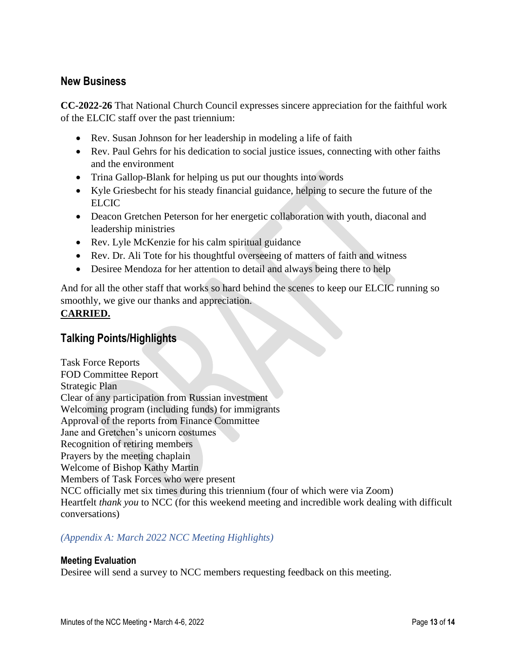#### **New Business**

**CC-2022-26** That National Church Council expresses sincere appreciation for the faithful work of the ELCIC staff over the past triennium:

- Rev. Susan Johnson for her leadership in modeling a life of faith
- Rev. Paul Gehrs for his dedication to social justice issues, connecting with other faiths and the environment
- Trina Gallop-Blank for helping us put our thoughts into words
- Kyle Griesbecht for his steady financial guidance, helping to secure the future of the ELCIC
- Deacon Gretchen Peterson for her energetic collaboration with youth, diaconal and leadership ministries
- Rev. Lyle McKenzie for his calm spiritual guidance
- Rev. Dr. Ali Tote for his thoughtful overseeing of matters of faith and witness
- Desiree Mendoza for her attention to detail and always being there to help

And for all the other staff that works so hard behind the scenes to keep our ELCIC running so smoothly, we give our thanks and appreciation. **CARRIED.**

# **Talking Points/Highlights**

Task Force Reports FOD Committee Report Strategic Plan Clear of any participation from Russian investment Welcoming program (including funds) for immigrants Approval of the reports from Finance Committee Jane and Gretchen's unicorn costumes Recognition of retiring members Prayers by the meeting chaplain Welcome of Bishop Kathy Martin Members of Task Forces who were present NCC officially met six times during this triennium (four of which were via Zoom) Heartfelt *thank you* to NCC (for this weekend meeting and incredible work dealing with difficult conversations)

#### *(Appendix A: March 2022 NCC Meeting Highlights)*

#### **Meeting Evaluation**

Desiree will send a survey to NCC members requesting feedback on this meeting.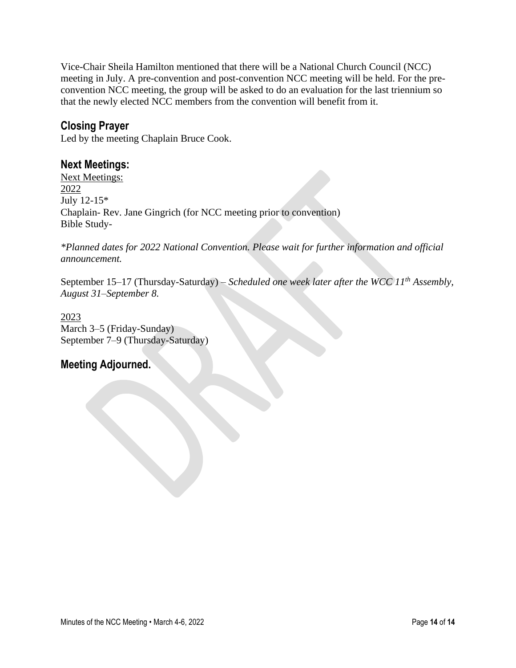Vice-Chair Sheila Hamilton mentioned that there will be a National Church Council (NCC) meeting in July. A pre-convention and post-convention NCC meeting will be held. For the preconvention NCC meeting, the group will be asked to do an evaluation for the last triennium so that the newly elected NCC members from the convention will benefit from it.

#### **Closing Prayer**

Led by the meeting Chaplain Bruce Cook.

#### **Next Meetings:**

Next Meetings: 2022 July 12-15\* Chaplain- Rev. Jane Gingrich (for NCC meeting prior to convention) Bible Study-

*\*Planned dates for 2022 National Convention. Please wait for further information and official announcement.* 

September 15–17 (Thursday-Saturday) – *Scheduled one week later after the WCC 11th Assembly, August 31–September 8.*

2023 March 3–5 (Friday-Sunday) September 7–9 (Thursday-Saturday)

#### **Meeting Adjourned.**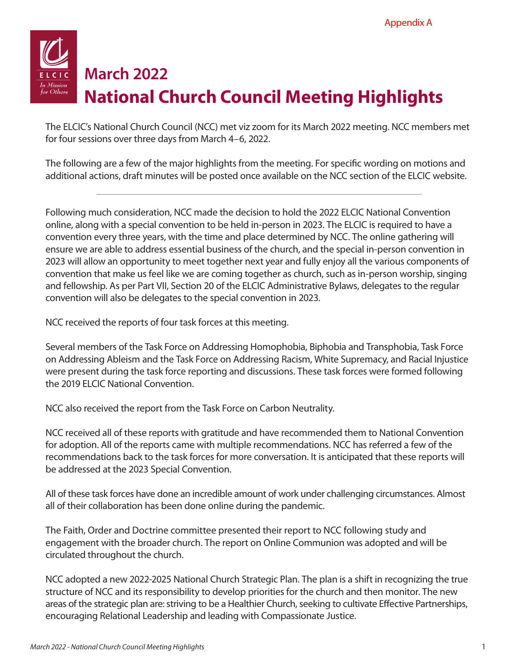

# **March 2022 National Church Council Meeting Highlights**

The ELCIC's National Church Council (NCC) met viz zoom for its March 2022 meeting. NCC members met for four sessions over three days from March 4–6, 2022.

The following are a few of the major highlights from the meeting. For specific wording on motions and additional actions, draft minutes will be posted once available on the NCC section of the ELCIC website.

Following much consideration, NCC made the decision to hold the 2022 ELCIC National Convention online, along with a special convention to be held in-person in 2023. The ELCIC is required to have a convention every three years, with the time and place determined by NCC. The online gathering will ensure we are able to address essential business of the church, and the special in-person convention in 2023 will allow an opportunity to meet together next year and fully enjoy all the various components of convention that make us feel like we are coming together as church, such as in-person worship, singing and fellowship. As per Part VII, Section 20 of the ELCIC Administrative Bylaws, delegates to the regular convention will also be delegates to the special convention in 2023.

NCC received the reports of four task forces at this meeting.

Several members of the Task Force on Addressing Homophobia, Biphobia and Transphobia, Task Force on Addressing Ableism and the Task Force on Addressing Racism, White Supremacy, and Racial Injustice were present during the task force reporting and discussions. These task forces were formed following the 2019 ELCIC National Convention.

NCC also received the report from the Task Force on Carbon Neutrality.

NCC received all of these reports with gratitude and have recommended them to National Convention for adoption. All of the reports came with multiple recommendations. NCC has referred a few of the recommendations back to the task forces for more conversation. It is anticipated that these reports will be addressed at the 2023 Special Convention.

All of these task forces have done an incredible amount of work under challenging circumstances. Almost all of their collaboration has been done online during the pandemic.

The Faith, Order and Doctrine committee presented their report to NCC following study and engagement with the broader church. The report on Online Communion was adopted and will be circulated throughout the church.

NCC adopted a new 2022-2025 National Church Strategic Plan. The plan is a shift in recognizing the true structure of NCC and its responsibility to develop priorities for the church and then monitor. The new areas of the strategic plan are: striving to be a Healthier Church, seeking to cultivate Effective Partnerships, encouraging Relational Leadership and leading with Compassionate Justice.